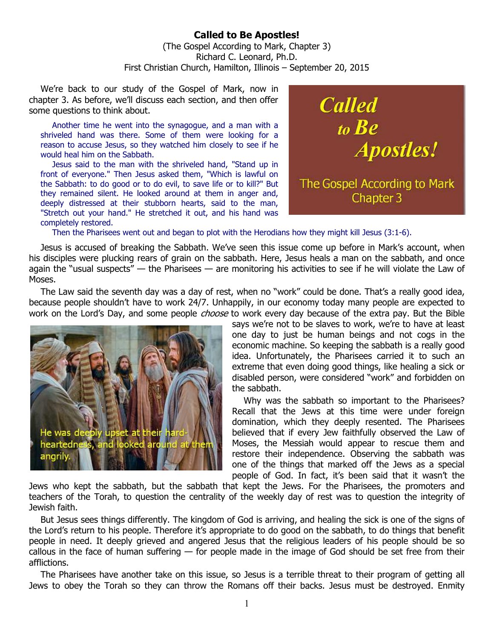## **Called to Be Apostles!**  (The Gospel According to Mark, Chapter 3) Richard C. Leonard, Ph.D. First Christian Church, Hamilton, Illinois – September 20, 2015

We're back to our study of the Gospel of Mark, now in chapter 3. As before, we'll discuss each section, and then offer some questions to think about.

Another time he went into the synagogue, and a man with a shriveled hand was there. Some of them were looking for a reason to accuse Jesus, so they watched him closely to see if he would heal him on the Sabbath.

Jesus said to the man with the shriveled hand, "Stand up in front of everyone." Then Jesus asked them, "Which is lawful on the Sabbath: to do good or to do evil, to save life or to kill?" But they remained silent. He looked around at them in anger and, deeply distressed at their stubborn hearts, said to the man, "Stretch out your hand." He stretched it out, and his hand was completely restored.



Then the Pharisees went out and began to plot with the Herodians how they might kill Jesus (3:1-6).

Jesus is accused of breaking the Sabbath. We've seen this issue come up before in Mark's account, when his disciples were plucking rears of grain on the sabbath. Here, Jesus heals a man on the sabbath, and once again the "usual suspects" — the Pharisees — are monitoring his activities to see if he will violate the Law of Moses.

The Law said the seventh day was a day of rest, when no "work" could be done. That's a really good idea, because people shouldn't have to work 24/7. Unhappily, in our economy today many people are expected to work on the Lord's Day, and some people *choose* to work every day because of the extra pay. But the Bible



says we're not to be slaves to work, we're to have at least one day to just be human beings and not cogs in the economic machine. So keeping the sabbath is a really good idea. Unfortunately, the Pharisees carried it to such an extreme that even doing good things, like healing a sick or disabled person, were considered "work" and forbidden on the sabbath.

Why was the sabbath so important to the Pharisees? Recall that the Jews at this time were under foreign domination, which they deeply resented. The Pharisees believed that if every Jew faithfully observed the Law of Moses, the Messiah would appear to rescue them and restore their independence. Observing the sabbath was one of the things that marked off the Jews as a special people of God. In fact, it's been said that it wasn't the

Jews who kept the sabbath, but the sabbath that kept the Jews. For the Pharisees, the promoters and teachers of the Torah, to question the centrality of the weekly day of rest was to question the integrity of Jewish faith.

But Jesus sees things differently. The kingdom of God is arriving, and healing the sick is one of the signs of the Lord's return to his people. Therefore it's appropriate to do good on the sabbath, to do things that benefit people in need. It deeply grieved and angered Jesus that the religious leaders of his people should be so callous in the face of human suffering — for people made in the image of God should be set free from their afflictions.

The Pharisees have another take on this issue, so Jesus is a terrible threat to their program of getting all Jews to obey the Torah so they can throw the Romans off their backs. Jesus must be destroyed. Enmity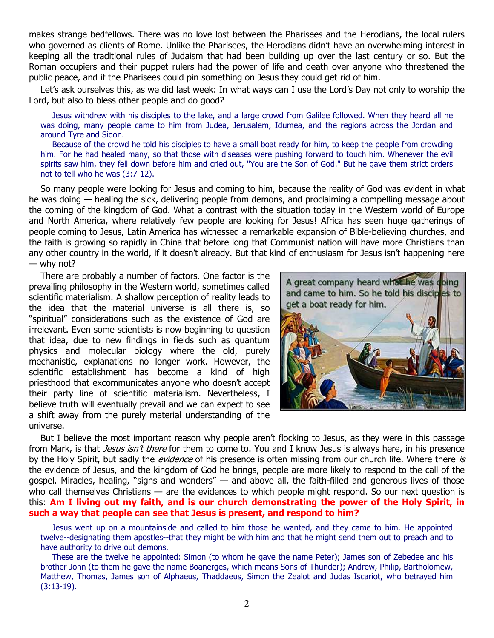makes strange bedfellows. There was no love lost between the Pharisees and the Herodians, the local rulers who governed as clients of Rome. Unlike the Pharisees, the Herodians didn't have an overwhelming interest in keeping all the traditional rules of Judaism that had been building up over the last century or so. But the Roman occupiers and their puppet rulers had the power of life and death over anyone who threatened the public peace, and if the Pharisees could pin something on Jesus they could get rid of him.

Let's ask ourselves this, as we did last week: In what ways can I use the Lord's Day not only to worship the Lord, but also to bless other people and do good?

Jesus withdrew with his disciples to the lake, and a large crowd from Galilee followed. When they heard all he was doing, many people came to him from Judea, Jerusalem, Idumea, and the regions across the Jordan and around Tyre and Sidon.

Because of the crowd he told his disciples to have a small boat ready for him, to keep the people from crowding him. For he had healed many, so that those with diseases were pushing forward to touch him. Whenever the evil spirits saw him, they fell down before him and cried out, "You are the Son of God." But he gave them strict orders not to tell who he was (3:7-12).

So many people were looking for Jesus and coming to him, because the reality of God was evident in what he was doing — healing the sick, delivering people from demons, and proclaiming a compelling message about the coming of the kingdom of God. What a contrast with the situation today in the Western world of Europe and North America, where relatively few people are looking for Jesus! Africa has seen huge gatherings of people coming to Jesus, Latin America has witnessed a remarkable expansion of Bible-believing churches, and the faith is growing so rapidly in China that before long that Communist nation will have more Christians than any other country in the world, if it doesn't already. But that kind of enthusiasm for Jesus isn't happening here — why not?

There are probably a number of factors. One factor is the prevailing philosophy in the Western world, sometimes called scientific materialism. A shallow perception of reality leads to the idea that the material universe is all there is, so "spiritual" considerations such as the existence of God are irrelevant. Even some scientists is now beginning to question that idea, due to new findings in fields such as quantum physics and molecular biology where the old, purely mechanistic, explanations no longer work. However, the scientific establishment has become a kind of high priesthood that excommunicates anyone who doesn't accept their party line of scientific materialism. Nevertheless, I believe truth will eventually prevail and we can expect to see a shift away from the purely material understanding of the universe.



But I believe the most important reason why people aren't flocking to Jesus, as they were in this passage from Mark, is that *Jesus isn't there* for them to come to. You and I know Jesus is always here, in his presence by the Holy Spirit, but sadly the *evidence* of his presence is often missing from our church life. Where there is the evidence of Jesus, and the kingdom of God he brings, people are more likely to respond to the call of the gospel. Miracles, healing, "signs and wonders" — and above all, the faith-filled and generous lives of those who call themselves Christians — are the evidences to which people might respond. So our next question is this: **Am I living out my faith, and is our church demonstrating the power of the Holy Spirit, in such a way that people can see that Jesus is present, and respond to him?**

Jesus went up on a mountainside and called to him those he wanted, and they came to him. He appointed twelve--designating them apostles--that they might be with him and that he might send them out to preach and to have authority to drive out demons.

These are the twelve he appointed: Simon (to whom he gave the name Peter); James son of Zebedee and his brother John (to them he gave the name Boanerges, which means Sons of Thunder); Andrew, Philip, Bartholomew, Matthew, Thomas, James son of Alphaeus, Thaddaeus, Simon the Zealot and Judas Iscariot, who betrayed him (3:13-19).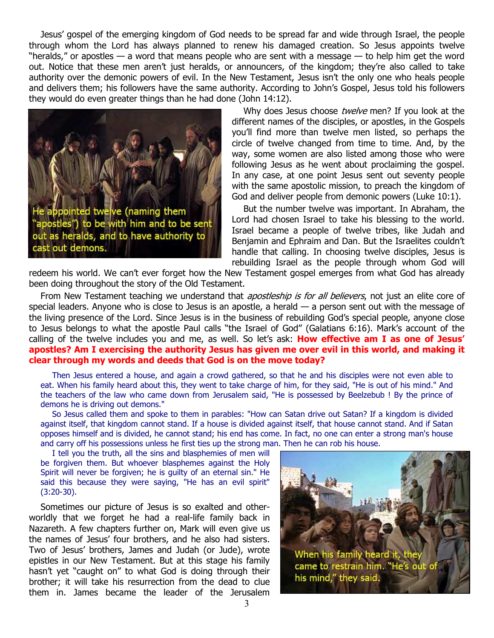Jesus' gospel of the emerging kingdom of God needs to be spread far and wide through Israel, the people through whom the Lord has always planned to renew his damaged creation. So Jesus appoints twelve "heralds," or apostles — a word that means people who are sent with a message — to help him get the word out. Notice that these men aren't just heralds, or announcers, of the kingdom; they're also called to take authority over the demonic powers of evil. In the New Testament, Jesus isn't the only one who heals people and delivers them; his followers have the same authority. According to John's Gospel, Jesus told his followers they would do even greater things than he had done (John 14:12).



Why does Jesus choose twelve men? If you look at the different names of the disciples, or apostles, in the Gospels you'll find more than twelve men listed, so perhaps the circle of twelve changed from time to time. And, by the way, some women are also listed among those who were following Jesus as he went about proclaiming the gospel. In any case, at one point Jesus sent out seventy people with the same apostolic mission, to preach the kingdom of God and deliver people from demonic powers (Luke 10:1).

But the number twelve was important. In Abraham, the Lord had chosen Israel to take his blessing to the world. Israel became a people of twelve tribes, like Judah and Benjamin and Ephraim and Dan. But the Israelites couldn't handle that calling. In choosing twelve disciples, Jesus is rebuilding Israel as the people through whom God will

redeem his world. We can't ever forget how the New Testament gospel emerges from what God has already been doing throughout the story of the Old Testament.

From New Testament teaching we understand that *apostleship is for all believers*, not just an elite core of special leaders. Anyone who is close to Jesus is an apostle, a herald — a person sent out with the message of the living presence of the Lord. Since Jesus is in the business of rebuilding God's special people, anyone close to Jesus belongs to what the apostle Paul calls "the Israel of God" (Galatians 6:16). Mark's account of the calling of the twelve includes you and me, as well. So let's ask: **How effective am I as one of Jesus' apostles? Am I exercising the authority Jesus has given me over evil in this world, and making it clear through my words and deeds that God is on the move today?**

Then Jesus entered a house, and again a crowd gathered, so that he and his disciples were not even able to eat. When his family heard about this, they went to take charge of him, for they said, "He is out of his mind." And the teachers of the law who came down from Jerusalem said, "He is possessed by Beelzebub ! By the prince of demons he is driving out demons."

So Jesus called them and spoke to them in parables: "How can Satan drive out Satan? If a kingdom is divided against itself, that kingdom cannot stand. If a house is divided against itself, that house cannot stand. And if Satan opposes himself and is divided, he cannot stand; his end has come. In fact, no one can enter a strong man's house and carry off his possessions unless he first ties up the strong man. Then he can rob his house.

I tell you the truth, all the sins and blasphemies of men will be forgiven them. But whoever blasphemes against the Holy Spirit will never be forgiven; he is guilty of an eternal sin." He said this because they were saying, "He has an evil spirit" (3:20-30).

Sometimes our picture of Jesus is so exalted and otherworldly that we forget he had a real-life family back in Nazareth. A few chapters further on, Mark will even give us the names of Jesus' four brothers, and he also had sisters. Two of Jesus' brothers, James and Judah (or Jude), wrote epistles in our New Testament. But at this stage his family hasn't yet "caught on" to what God is doing through their brother; it will take his resurrection from the dead to clue them in. James became the leader of the Jerusalem

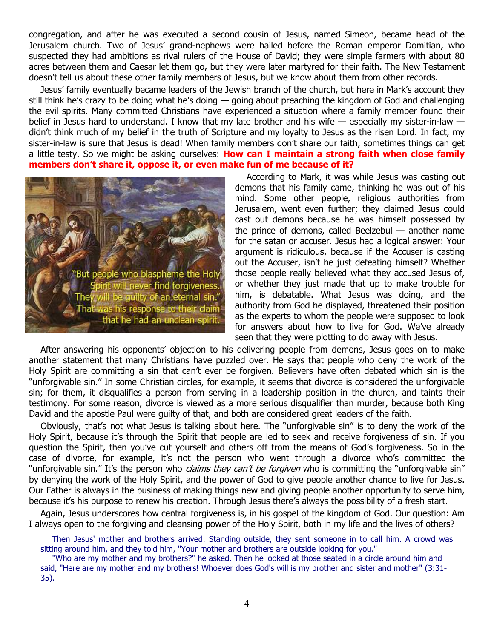congregation, and after he was executed a second cousin of Jesus, named Simeon, became head of the Jerusalem church. Two of Jesus' grand-nephews were hailed before the Roman emperor Domitian, who suspected they had ambitions as rival rulers of the House of David; they were simple farmers with about 80 acres between them and Caesar let them go, but they were later martyred for their faith. The New Testament doesn't tell us about these other family members of Jesus, but we know about them from other records.

Jesus' family eventually became leaders of the Jewish branch of the church, but here in Mark's account they still think he's crazy to be doing what he's doing — going about preaching the kingdom of God and challenging the evil spirits. Many committed Christians have experienced a situation where a family member found their belief in Jesus hard to understand. I know that my late brother and his wife — especially my sister-in-law didn't think much of my belief in the truth of Scripture and my loyalty to Jesus as the risen Lord. In fact, my sister-in-law is sure that Jesus is dead! When family members don't share our faith, sometimes things can get a little testy. So we might be asking ourselves: **How can I maintain a strong faith when close family members don't share it, oppose it, or even make fun of me because of it?**



According to Mark, it was while Jesus was casting out demons that his family came, thinking he was out of his mind. Some other people, religious authorities from Jerusalem, went even further; they claimed Jesus could cast out demons because he was himself possessed by the prince of demons, called Beelzebul — another name for the satan or accuser. Jesus had a logical answer: Your argument is ridiculous, because if the Accuser is casting out the Accuser, isn't he just defeating himself? Whether those people really believed what they accused Jesus of, or whether they just made that up to make trouble for him, is debatable. What Jesus was doing, and the authority from God he displayed, threatened their position as the experts to whom the people were supposed to look for answers about how to live for God. We've already seen that they were plotting to do away with Jesus.

After answering his opponents' objection to his delivering people from demons, Jesus goes on to make another statement that many Christians have puzzled over. He says that people who deny the work of the Holy Spirit are committing a sin that can't ever be forgiven. Believers have often debated which sin is the "unforgivable sin." In some Christian circles, for example, it seems that divorce is considered the unforgivable sin; for them, it disqualifies a person from serving in a leadership position in the church, and taints their testimony. For some reason, divorce is viewed as a more serious disqualifier than murder, because both King David and the apostle Paul were guilty of that, and both are considered great leaders of the faith.

Obviously, that's not what Jesus is talking about here. The "unforgivable sin" is to deny the work of the Holy Spirit, because it's through the Spirit that people are led to seek and receive forgiveness of sin. If you question the Spirit, then you've cut yourself and others off from the means of God's forgiveness. So in the case of divorce, for example, it's not the person who went through a divorce who's committed the "unforgivable sin." It's the person who *claims they can't be forgiven* who is committing the "unforgivable sin" by denying the work of the Holy Spirit, and the power of God to give people another chance to live for Jesus. Our Father is always in the business of making things new and giving people another opportunity to serve him, because it's his purpose to renew his creation. Through Jesus there's always the possibility of a fresh start.

Again, Jesus underscores how central forgiveness is, in his gospel of the kingdom of God. Our question: Am I always open to the forgiving and cleansing power of the Holy Spirit, both in my life and the lives of others?

Then Jesus' mother and brothers arrived. Standing outside, they sent someone in to call him. A crowd was sitting around him, and they told him, "Your mother and brothers are outside looking for you."

"Who are my mother and my brothers?" he asked. Then he looked at those seated in a circle around him and said, "Here are my mother and my brothers! Whoever does God's will is my brother and sister and mother" (3:31- 35).